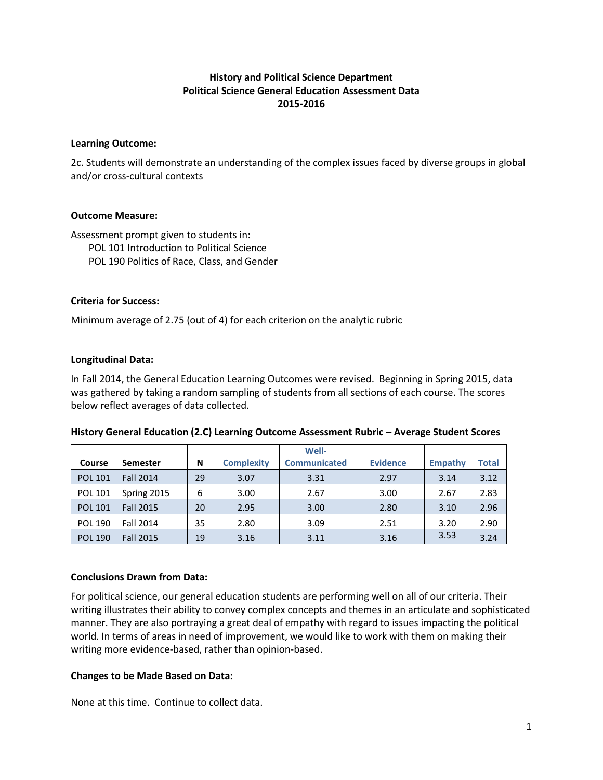# **History and Political Science Department Political Science General Education Assessment Data 2015-2016**

### **Learning Outcome:**

2c. Students will demonstrate an understanding of the complex issues faced by diverse groups in global and/or cross-cultural contexts

### **Outcome Measure:**

Assessment prompt given to students in: POL 101 Introduction to Political Science POL 190 Politics of Race, Class, and Gender

## **Criteria for Success:**

Minimum average of 2.75 (out of 4) for each criterion on the analytic rubric

### **Longitudinal Data:**

In Fall 2014, the General Education Learning Outcomes were revised. Beginning in Spring 2015, data was gathered by taking a random sampling of students from all sections of each course. The scores below reflect averages of data collected.

|                |                  |    |                   | Well-               |                 |         |       |
|----------------|------------------|----|-------------------|---------------------|-----------------|---------|-------|
| Course         | <b>Semester</b>  | N  | <b>Complexity</b> | <b>Communicated</b> | <b>Evidence</b> | Empathy | Total |
| <b>POL 101</b> | <b>Fall 2014</b> | 29 | 3.07              | 3.31                | 2.97            | 3.14    | 3.12  |
| <b>POL 101</b> | Spring 2015      | 6  | 3.00              | 2.67                | 3.00            | 2.67    | 2.83  |
| <b>POL 101</b> | <b>Fall 2015</b> | 20 | 2.95              | 3.00                | 2.80            | 3.10    | 2.96  |
| <b>POL 190</b> | <b>Fall 2014</b> | 35 | 2.80              | 3.09                | 2.51            | 3.20    | 2.90  |
| <b>POL 190</b> | <b>Fall 2015</b> | 19 | 3.16              | 3.11                | 3.16            | 3.53    | 3.24  |

**History General Education (2.C) Learning Outcome Assessment Rubric – Average Student Scores**

## **Conclusions Drawn from Data:**

For political science, our general education students are performing well on all of our criteria. Their writing illustrates their ability to convey complex concepts and themes in an articulate and sophisticated manner. They are also portraying a great deal of empathy with regard to issues impacting the political world. In terms of areas in need of improvement, we would like to work with them on making their writing more evidence-based, rather than opinion-based.

## **Changes to be Made Based on Data:**

None at this time. Continue to collect data.